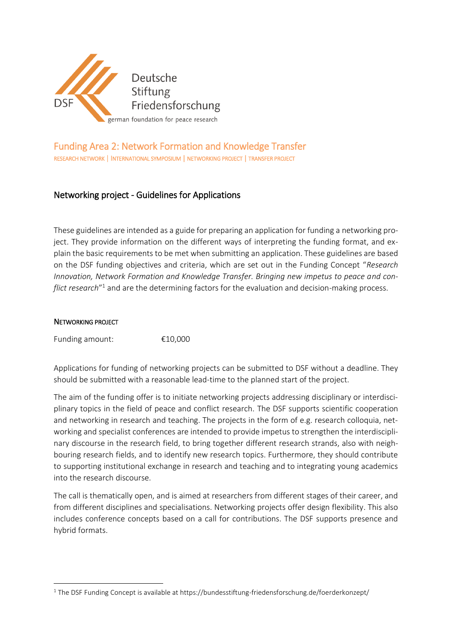

# Funding Area 2: Network Formation and Knowledge Transfer RESEARCH NETWORK | INTERNATIONAL SYMPOSIUM | NETWORKING PROJECT | TRANSFER PROJECT

# Networking project - Guidelines for Applications

These guidelines are intended as a guide for preparing an application for funding a networking project. They provide information on the different ways of interpreting the funding format, and explain the basic requirements to be met when submitting an application. These guidelines are based on the DSF funding objectives and criteria, which are set out in the Funding Concept "*Research Innovation, Network Formation and Knowledge Transfer. Bringing new impetus to peace and conflict research*" <sup>1</sup> and are the determining factors for the evaluation and decision-making process.

#### NETWORKING PROJECT

**.** 

Funding amount: €10,000

Applications for funding of networking projects can be submitted to DSF without a deadline. They should be submitted with a reasonable lead-time to the planned start of the project.

The aim of the funding offer is to initiate networking projects addressing disciplinary or interdisciplinary topics in the field of peace and conflict research. The DSF supports scientific cooperation and networking in research and teaching. The projects in the form of e.g. research colloquia, networking and specialist conferences are intended to provide impetus to strengthen the interdisciplinary discourse in the research field, to bring together different research strands, also with neighbouring research fields, and to identify new research topics. Furthermore, they should contribute to supporting institutional exchange in research and teaching and to integrating young academics into the research discourse.

The call is thematically open, and is aimed at researchers from different stages of their career, and from different disciplines and specialisations. Networking projects offer design flexibility. This also includes conference concepts based on a call for contributions. The DSF supports presence and hybrid formats.

<sup>&</sup>lt;sup>1</sup> The DSF Funding Concept is available at https://bundesstiftung-friedensforschung.de/foerderkonzept/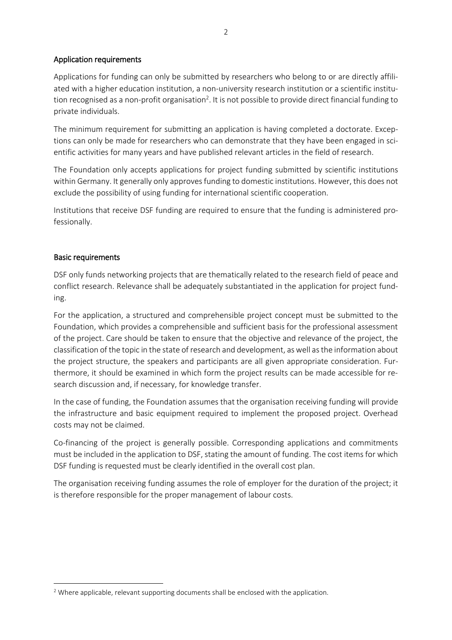#### Application requirements

Applications for funding can only be submitted by researchers who belong to or are directly affiliated with a higher education institution, a non-university research institution or a scientific institution recognised as a non-profit organisation<sup>2</sup>. It is not possible to provide direct financial funding to private individuals.

The minimum requirement for submitting an application is having completed a doctorate. Exceptions can only be made for researchers who can demonstrate that they have been engaged in scientific activities for many years and have published relevant articles in the field of research.

The Foundation only accepts applications for project funding submitted by scientific institutions within Germany. It generally only approves funding to domestic institutions. However, this does not exclude the possibility of using funding for international scientific cooperation.

Institutions that receive DSF funding are required to ensure that the funding is administered professionally.

#### Basic requirements

**.** 

DSF only funds networking projects that are thematically related to the research field of peace and conflict research. Relevance shall be adequately substantiated in the application for project funding.

For the application, a structured and comprehensible project concept must be submitted to the Foundation, which provides a comprehensible and sufficient basis for the professional assessment of the project. Care should be taken to ensure that the objective and relevance of the project, the classification of the topic in the state of research and development, as well as the information about the project structure, the speakers and participants are all given appropriate consideration. Furthermore, it should be examined in which form the project results can be made accessible for research discussion and, if necessary, for knowledge transfer.

In the case of funding, the Foundation assumes that the organisation receiving funding will provide the infrastructure and basic equipment required to implement the proposed project. Overhead costs may not be claimed.

Co-financing of the project is generally possible. Corresponding applications and commitments must be included in the application to DSF, stating the amount of funding. The cost items for which DSF funding is requested must be clearly identified in the overall cost plan.

The organisation receiving funding assumes the role of employer for the duration of the project; it is therefore responsible for the proper management of labour costs.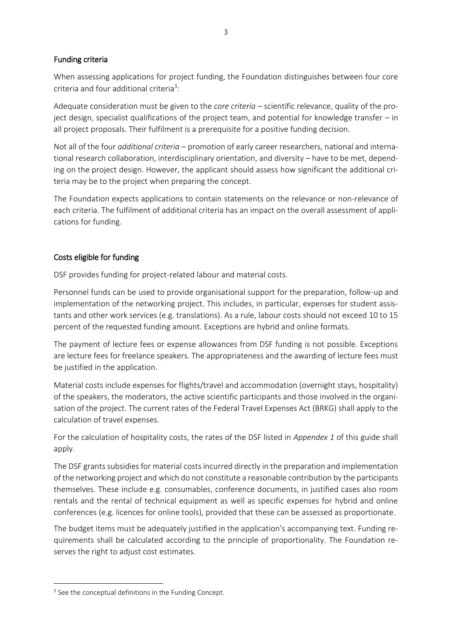## Funding criteria

When assessing applications for project funding, the Foundation distinguishes between four core criteria and four additional criteria<sup>3</sup>:

Adequate consideration must be given to the *core criteria* – scientific relevance, quality of the project design, specialist qualifications of the project team, and potential for knowledge transfer – in all project proposals. Their fulfilment is a prerequisite for a positive funding decision.

Not all of the four *additional criteria* – promotion of early career researchers, national and international research collaboration, interdisciplinary orientation, and diversity – have to be met, depending on the project design. However, the applicant should assess how significant the additional criteria may be to the project when preparing the concept.

The Foundation expects applications to contain statements on the relevance or non-relevance of each criteria. The fulfilment of additional criteria has an impact on the overall assessment of applications for funding.

## Costs eligible for funding

DSF provides funding for project-related labour and material costs.

Personnel funds can be used to provide organisational support for the preparation, follow-up and implementation of the networking project. This includes, in particular, expenses for student assistants and other work services (e.g. translations). As a rule, labour costs should not exceed 10 to 15 percent of the requested funding amount. Exceptions are hybrid and online formats.

The payment of lecture fees or expense allowances from DSF funding is not possible. Exceptions are lecture fees for freelance speakers. The appropriateness and the awarding of lecture fees must be justified in the application.

Material costs include expenses for flights/travel and accommodation (overnight stays, hospitality) of the speakers, the moderators, the active scientific participants and those involved in the organisation of the project. The current rates of the Federal Travel Expenses Act (BRKG) shall apply to the calculation of travel expenses.

For the calculation of hospitality costs, the rates of the DSF listed in *Appendex 1* of this guide shall apply.

The DSF grants subsidies for material costs incurred directly in the preparation and implementation of the networking project and which do not constitute a reasonable contribution by the participants themselves. These include e.g. consumables, conference documents, in justified cases also room rentals and the rental of technical equipment as well as specific expenses for hybrid and online conferences (e.g. licences for online tools), provided that these can be assessed as proportionate.

The budget items must be adequately justified in the application's accompanying text. Funding requirements shall be calculated according to the principle of proportionality. The Foundation reserves the right to adjust cost estimates.

**.** 

<sup>&</sup>lt;sup>3</sup> See the conceptual definitions in the Funding Concept.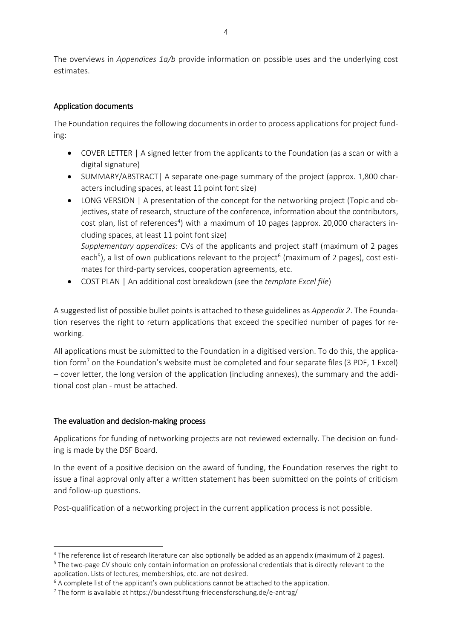The overviews in *Appendices 1a/b* provide information on possible uses and the underlying cost estimates.

## Application documents

The Foundation requires the following documents in order to process applications for project funding:

- COVER LETTER | A signed letter from the applicants to the Foundation (as a scan or with a digital signature)
- SUMMARY/ABSTRACT| A separate one-page summary of the project (approx. 1,800 characters including spaces, at least 11 point font size)
- LONG VERSION | A presentation of the concept for the networking project (Topic and objectives, state of research, structure of the conference, information about the contributors, cost plan, list of references<sup>4</sup>) with a maximum of 10 pages (approx. 20,000 characters including spaces, at least 11 point font size) *Supplementary appendices:* CVs of the applicants and project staff (maximum of 2 pages each<sup>5</sup>), a list of own publications relevant to the project<sup>6</sup> (maximum of 2 pages), cost estimates for third-party services, cooperation agreements, etc.
- COST PLAN | An additional cost breakdown (see the *template Excel file*)

A suggested list of possible bullet points is attached to these guidelines as *Appendix 2*. The Foundation reserves the right to return applications that exceed the specified number of pages for reworking.

All applications must be submitted to the Foundation in a digitised version. To do this, the application form<sup>7</sup> on the Foundation's website must be completed and four separate files (3 PDF, 1 Excel) – cover letter, the long version of the application (including annexes), the summary and the additional cost plan - must be attached.

## The evaluation and decision-making process

**.** 

Applications for funding of networking projects are not reviewed externally. The decision on funding is made by the DSF Board.

In the event of a positive decision on the award of funding, the Foundation reserves the right to issue a final approval only after a written statement has been submitted on the points of criticism and follow-up questions.

Post-qualification of a networking project in the current application process is not possible.

<sup>5</sup> The two-page CV should only contain information on professional credentials that is directly relevant to the application. Lists of lectures, memberships, etc. are not desired.

<sup>4</sup> The reference list of research literature can also optionally be added as an appendix (maximum of 2 pages).

<sup>&</sup>lt;sup>6</sup> A complete list of the applicant's own publications cannot be attached to the application.

<sup>7</sup> The form is available at https://bundesstiftung-friedensforschung.de/e-antrag/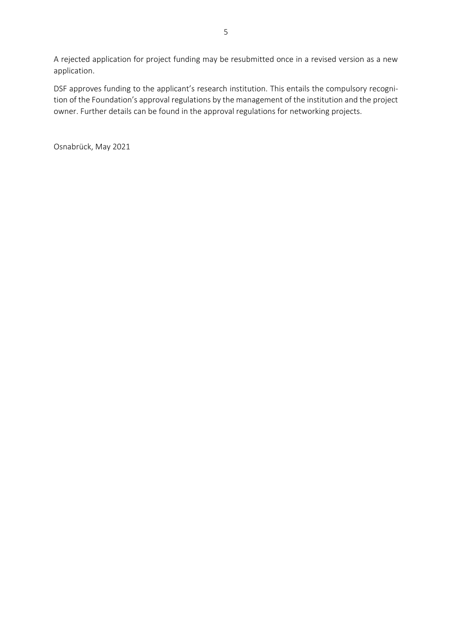A rejected application for project funding may be resubmitted once in a revised version as a new application.

DSF approves funding to the applicant's research institution. This entails the compulsory recognition of the Foundation's approval regulations by the management of the institution and the project owner. Further details can be found in the approval regulations for networking projects.

Osnabrück, May 2021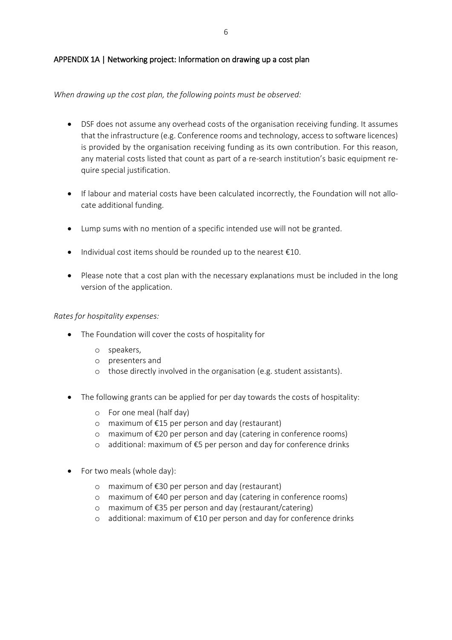## APPENDIX 1A | Networking project: Information on drawing up a cost plan

*When drawing up the cost plan, the following points must be observed:*

- DSF does not assume any overhead costs of the organisation receiving funding. It assumes that the infrastructure (e.g. Conference rooms and technology, access to software licences) is provided by the organisation receiving funding as its own contribution. For this reason, any material costs listed that count as part of a re-search institution's basic equipment require special justification.
- If labour and material costs have been calculated incorrectly, the Foundation will not allocate additional funding.
- Lump sums with no mention of a specific intended use will not be granted.
- $\bullet$  Individual cost items should be rounded up to the nearest  $\epsilon$ 10.
- Please note that a cost plan with the necessary explanations must be included in the long version of the application.

#### *Rates for hospitality expenses:*

- The Foundation will cover the costs of hospitality for
	- o speakers,
	- o presenters and
	- o those directly involved in the organisation (e.g. student assistants).
- The following grants can be applied for per day towards the costs of hospitality:
	- o For one meal (half day)
	- o maximum of €15 per person and day (restaurant)
	- o maximum of €20 per person and day (catering in conference rooms)
	- o additional: maximum of €5 per person and day for conference drinks
- For two meals (whole day):
	- o maximum of €30 per person and day (restaurant)
	- o maximum of €40 per person and day (catering in conference rooms)
	- o maximum of €35 per person and day (restaurant/catering)
	- o additional: maximum of €10 per person and day for conference drinks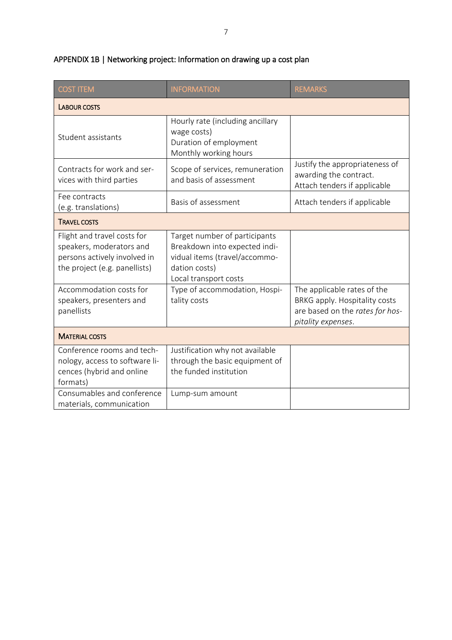| <b>COST ITEM</b>                                                                                                         | <b>INFORMATION</b>                                                                                                                        | <b>REMARKS</b>                                                                                                        |
|--------------------------------------------------------------------------------------------------------------------------|-------------------------------------------------------------------------------------------------------------------------------------------|-----------------------------------------------------------------------------------------------------------------------|
| <b>LABOUR COSTS</b>                                                                                                      |                                                                                                                                           |                                                                                                                       |
| Student assistants                                                                                                       | Hourly rate (including ancillary<br>wage costs)<br>Duration of employment<br>Monthly working hours                                        |                                                                                                                       |
| Contracts for work and ser-<br>vices with third parties                                                                  | Scope of services, remuneration<br>and basis of assessment                                                                                | Justify the appropriateness of<br>awarding the contract.<br>Attach tenders if applicable                              |
| Fee contracts<br>(e.g. translations)                                                                                     | Basis of assessment                                                                                                                       | Attach tenders if applicable                                                                                          |
| <b>TRAVEL COSTS</b>                                                                                                      |                                                                                                                                           |                                                                                                                       |
| Flight and travel costs for<br>speakers, moderators and<br>persons actively involved in<br>the project (e.g. panellists) | Target number of participants<br>Breakdown into expected indi-<br>vidual items (travel/accommo-<br>dation costs)<br>Local transport costs |                                                                                                                       |
| Accommodation costs for<br>speakers, presenters and<br>panellists                                                        | Type of accommodation, Hospi-<br>tality costs                                                                                             | The applicable rates of the<br>BRKG apply. Hospitality costs<br>are based on the rates for hos-<br>pitality expenses. |
| <b>MATERIAL COSTS</b>                                                                                                    |                                                                                                                                           |                                                                                                                       |
| Conference rooms and tech-<br>nology, access to software li-<br>cences (hybrid and online<br>formats)                    | Justification why not available<br>through the basic equipment of<br>the funded institution                                               |                                                                                                                       |
| Consumables and conference<br>materials, communication                                                                   | Lump-sum amount                                                                                                                           |                                                                                                                       |

# APPENDIX 1B | Networking project: Information on drawing up a cost plan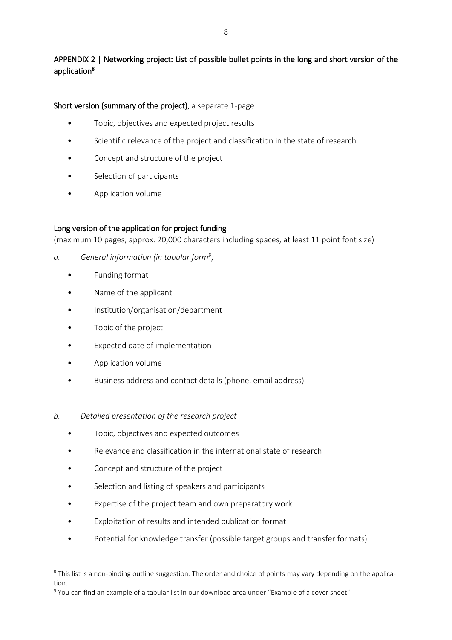# APPENDIX 2 | Networking project: List of possible bullet points in the long and short version of the application<sup>8</sup>

## Short version (summary of the project), a separate 1-page

- Topic, objectives and expected project results
- Scientific relevance of the project and classification in the state of research
- Concept and structure of the project
- Selection of participants
- Application volume

#### Long version of the application for project funding

(maximum 10 pages; approx. 20,000 characters including spaces, at least 11 point font size)

- *a. General information (in tabular form<sup>9</sup> )*
	- Funding format
	- Name of the applicant
	- Institution/organisation/department
	- Topic of the project
	- Expected date of implementation
	- Application volume

**.** 

• Business address and contact details (phone, email address)

#### *b. Detailed presentation of the research project*

- Topic, objectives and expected outcomes
- Relevance and classification in the international state of research
- Concept and structure of the project
- Selection and listing of speakers and participants
- Expertise of the project team and own preparatory work
- Exploitation of results and intended publication format
- Potential for knowledge transfer (possible target groups and transfer formats)

<sup>&</sup>lt;sup>8</sup> This list is a non-binding outline suggestion. The order and choice of points may vary depending on the application.

<sup>9</sup> You can find an example of a tabular list in our download area under "Example of a cover sheet".